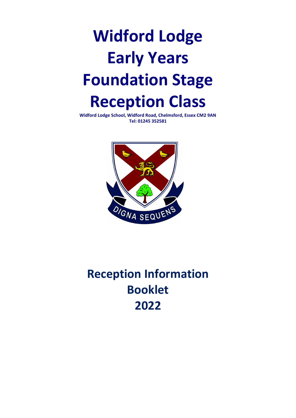# **Widford Lodge Early Years Foundation Stage Reception Class**

**Widford Lodge School, Widford Road, Chelmsford, Essex CM2 9AN Tel: 01245 352581**



# **Reception Information Booklet 2022**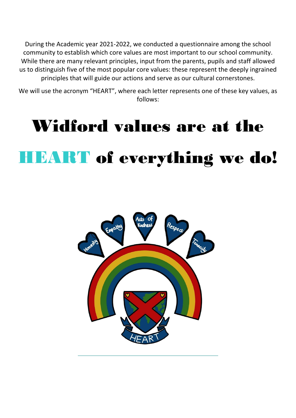During the Academic year 2021-2022, we conducted a questionnaire among the school community to establish which core values are most important to our school community. While there are many relevant principles, input from the parents, pupils and staff allowed us to distinguish five of the most popular core values: these represent the deeply ingrained principles that will guide our actions and serve as our cultural cornerstones.

We will use the acronym "HEART", where each letter represents one of these key values, as follows:

# Widford values are at the HEART of everything we do!

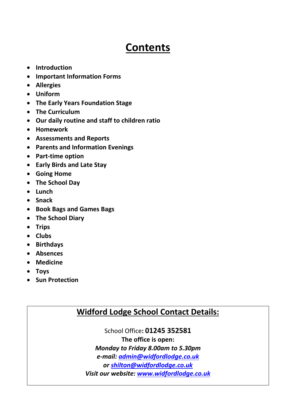# **Contents**

- **Introduction**
- **Important Information Forms**
- **Allergies**
- **Uniform**
- **The Early Years Foundation Stage**
- **The Curriculum**
- **Our daily routine and staff to children ratio**
- **Homework**
- **Assessments and Reports**
- **Parents and Information Evenings**
- **Part-time option**
- **Early Birds and Late Stay**
- **Going Home**
- **The School Day**
- **Lunch**
- **Snack**
- **Book Bags and Games Bags**
- **The School Diary**
- **Trips**
- **Clubs**
- **Birthdays**
- **Absences**
- **Medicine**
- **Toys**
- **•** Sun Protection

#### **Widford Lodge School Contact Details:**

School Office**: 01245 352581 The office is open:** *Monday to Friday 8.00am to 5.30pm e-mail: [admin@widfordlodge.co.uk](mailto:admin@widfordlodge.co.uk) or [shilton@widfordlodge.co.uk](mailto:shilton@widfordlodge.co.uk) Visit our website: [www.widfordlodge.co.uk](http://www.widfordlodge.co.uk/)*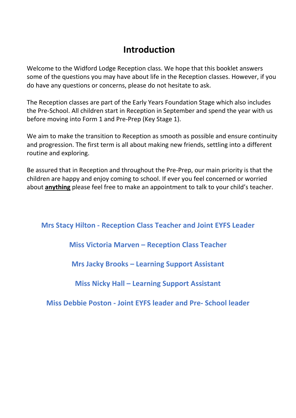# **Introduction**

Welcome to the Widford Lodge Reception class. We hope that this booklet answers some of the questions you may have about life in the Reception classes. However, if you do have any questions or concerns, please do not hesitate to ask.

The Reception classes are part of the Early Years Foundation Stage which also includes the Pre-School. All children start in Reception in September and spend the year with us before moving into Form 1 and Pre-Prep (Key Stage 1).

We aim to make the transition to Reception as smooth as possible and ensure continuity and progression. The first term is all about making new friends, settling into a different routine and exploring.

Be assured that in Reception and throughout the Pre-Prep, our main priority is that the children are happy and enjoy coming to school. If ever you feel concerned or worried about **anything** please feel free to make an appointment to talk to your child's teacher.

**Mrs Stacy Hilton - Reception Class Teacher and Joint EYFS Leader**

**Miss Victoria Marven – Reception Class Teacher**

**Mrs Jacky Brooks – Learning Support Assistant**

**Miss Nicky Hall – Learning Support Assistant**

**Miss Debbie Poston - Joint EYFS leader and Pre- School leader**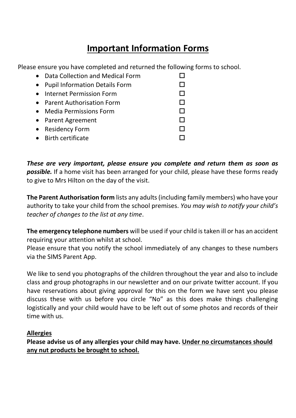# **Important Information Forms**

Please ensure you have completed and returned the following forms to school.

| • Data Collection and Medical Form |  |
|------------------------------------|--|
| • Pupil Information Details Form   |  |
| • Internet Permission Form         |  |
| • Parent Authorisation Form        |  |
| • Media Permissions Form           |  |
| • Parent Agreement                 |  |
| • Residency Form                   |  |
| • Birth certificate                |  |

*These are very important, please ensure you complete and return them as soon as possible.* If a home visit has been arranged for your child, please have these forms ready to give to Mrs Hilton on the day of the visit.

**The Parent Authorisation form** lists any adults (including family members) who have your authority to take your child from the school premises. *You may wish to notify your child's teacher of changes to the list at any time*.

**The emergency telephone numbers** will be used if your child is taken ill or has an accident requiring your attention whilst at school.

Please ensure that you notify the school immediately of any changes to these numbers via the SIMS Parent App.

We like to send you photographs of the children throughout the year and also to include class and group photographs in our newsletter and on our private twitter account. If you have reservations about giving approval for this on the form we have sent you please discuss these with us before you circle "No" as this does make things challenging logistically and your child would have to be left out of some photos and records of their time with us.

#### **Allergies**

**Please advise us of any allergies your child may have. Under no circumstances should any nut products be brought to school.**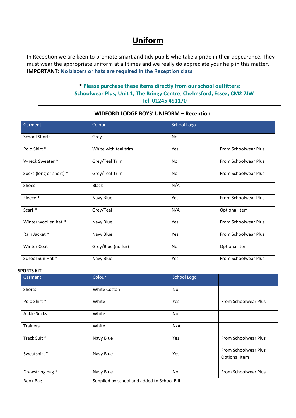#### **Uniform**

In Reception we are keen to promote smart and tidy pupils who take a pride in their appearance. They must wear the appropriate uniform at all times and we really do appreciate your help in this matter. **IMPORTANT: No blazers or hats are required in the Reception class**

#### **\* Please purchase these items directly from our school outfitters: Schoolwear Plus, Unit 1, The Bringy Centre, Chelmsford, Essex, CM2 7JW Tel. 01245 491170**

| Garment                 | Colour                                      | School Logo |                                       |
|-------------------------|---------------------------------------------|-------------|---------------------------------------|
| <b>School Shorts</b>    | Grey                                        | <b>No</b>   |                                       |
| Polo Shirt*             | White with teal trim                        | Yes         | From Schoolwear Plus                  |
| V-neck Sweater*         | Grey/Teal Trim                              | No          | From Schoolwear Plus                  |
| Socks (long or short) * | Grey/Teal Trim                              | <b>No</b>   | From Schoolwear Plus                  |
| Shoes                   | <b>Black</b>                                | N/A         |                                       |
| Fleece*                 | Navy Blue                                   | Yes         | From Schoolwear Plus                  |
| Scarf*                  | Grey/Teal                                   | N/A         | Optional Item                         |
| Winter woollen hat *    | Navy Blue                                   | Yes         | From Schoolwear Plus                  |
| Rain Jacket *           | Navy Blue                                   | Yes         | From Schoolwear Plus                  |
| <b>Winter Coat</b>      | Grey/Blue (no fur)                          | No          | Optional item                         |
| School Sun Hat*         | Navy Blue                                   | Yes         | From Schoolwear Plus                  |
| <b>SPORTS KIT</b>       |                                             |             |                                       |
| Garment                 | Colour                                      | School Logo |                                       |
| Shorts                  | White Cotton                                | <b>No</b>   |                                       |
| Polo Shirt *            | White                                       | Yes         | From Schoolwear Plus                  |
| <b>Ankle Socks</b>      | White                                       | No          |                                       |
| <b>Trainers</b>         | White                                       | N/A         |                                       |
| Track Suit *            | Navy Blue                                   | Yes         | From Schoolwear Plus                  |
| Sweatshirt *            | Navy Blue                                   | Yes         | From Schoolwear Plus<br>Optional Item |
| Drawstring bag *        | Navy Blue                                   | No          | From Schoolwear Plus                  |
| <b>Book Bag</b>         | Supplied by school and added to School Bill |             |                                       |

#### **WIDFORD LODGE BOYS' UNIFORM – Reception**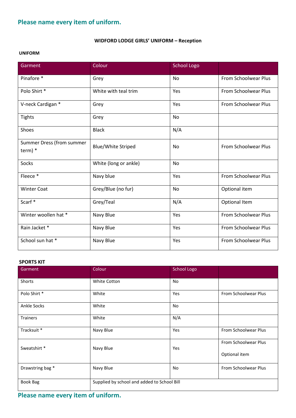## **Please name every item of uniform.**

#### **WIDFORD LODGE GIRLS' UNIFORM – Reception**

#### **UNIFORM**

| Garment                                | Colour                    | <b>School Logo</b> |                             |
|----------------------------------------|---------------------------|--------------------|-----------------------------|
| Pinafore *                             | Grey                      | No                 | From Schoolwear Plus        |
| Polo Shirt*                            | White with teal trim      | Yes                | <b>From Schoolwear Plus</b> |
| V-neck Cardigan *                      | Grey                      | Yes                | From Schoolwear Plus        |
| <b>Tights</b>                          | Grey                      | <b>No</b>          |                             |
| Shoes                                  | <b>Black</b>              | N/A                |                             |
| Summer Dress (from summer<br>$term)$ * | <b>Blue/White Striped</b> | <b>No</b>          | <b>From Schoolwear Plus</b> |
| Socks                                  | White (long or ankle)     | <b>No</b>          |                             |
| Fleece*                                | Navy blue                 | Yes                | <b>From Schoolwear Plus</b> |
| <b>Winter Coat</b>                     | Grey/Blue (no fur)        | <b>No</b>          | Optional item               |
| Scarf*                                 | Grey/Teal                 | N/A                | Optional Item               |
| Winter woollen hat *                   | Navy Blue                 | Yes                | <b>From Schoolwear Plus</b> |
| Rain Jacket *                          | Navy Blue                 | Yes                | <b>From Schoolwear Plus</b> |
| School sun hat *                       | Navy Blue                 | Yes                | <b>From Schoolwear Plus</b> |

#### **SPORTS KIT**

| Garment            | Colour                                      | <b>School Logo</b> |                      |
|--------------------|---------------------------------------------|--------------------|----------------------|
| Shorts             | <b>White Cotton</b>                         | <b>No</b>          |                      |
| Polo Shirt *       | White                                       | Yes                | From Schoolwear Plus |
| <b>Ankle Socks</b> | White                                       | <b>No</b>          |                      |
| Trainers           | White                                       | N/A                |                      |
| Tracksuit *        | Navy Blue                                   | Yes                | From Schoolwear Plus |
| Sweatshirt *       | Navy Blue                                   | Yes                | From Schoolwear Plus |
|                    |                                             |                    | Optional item        |
| Drawstring bag *   | Navy Blue                                   | No.                | From Schoolwear Plus |
| <b>Book Bag</b>    | Supplied by school and added to School Bill |                    |                      |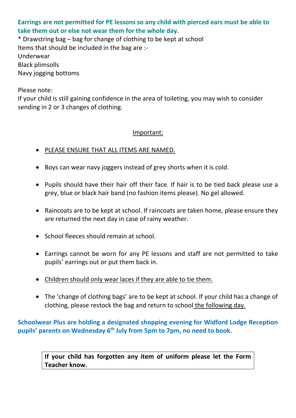#### **Earrings are not permitted for PE lessons so any child with pierced ears must be able to take them out or else not wear them for the whole day.**

\* Drawstring bag – bag for change of clothing to be kept at school Items that should be included in the bag are :- Underwear Black plimsolls Navy jogging bottoms

Please note:

If your child is still gaining confidence in the area of toileting, you may wish to consider sending in 2 or 3 changes of clothing.

#### Important:

- PLEASE ENSURE THAT ALL ITEMS ARE NAMED.
- Boys can wear navy joggers instead of grey shorts when it is cold.
- Pupils should have their hair off their face. If hair is to be tied back please use a grey, blue or black hair band (no fashion items please). No gel allowed.
- Raincoats are to be kept at school. If raincoats are taken home, please ensure they are returned the next day in case of rainy weather.
- School fleeces should remain at school.
- Earrings cannot be worn for any PE lessons and staff are not permitted to take pupils' earrings out or put them back in.
- Children should only wear laces if they are able to tie them.
- The 'change of clothing bags' are to be kept at school. If your child has a change of clothing, please restock the bag and return to school the following day.

**Schoolwear Plus are holding a designated shopping evening for Widford Lodge Reception pupils' parents on Wednesday 6th July from 5pm to 7pm, no need to book.**

**If your child has forgotten any item of uniform please let the Form Teacher know.**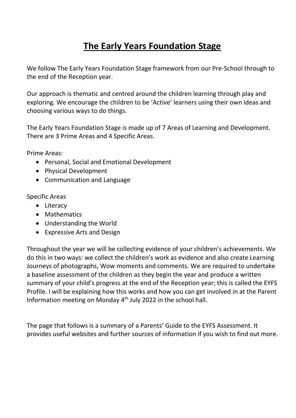# **The Early Years Foundation Stage**

We follow The Early Years Foundation Stage framework from our Pre-School through to the end of the Reception year.

Our approach is thematic and centred around the children learning through play and exploring. We encourage the children to be 'Active' learners using their own ideas and choosing various ways to do things.

The Early Years Foundation Stage is made up of 7 Areas of Learning and Development. There are 3 Prime Areas and 4 Specific Areas.

Prime Areas:

- Personal, Social and Emotional Development
- Physical Development
- Communication and Language

Specific Areas

- Literacy
- Mathematics
- Understanding the World
- Expressive Arts and Design

Throughout the year we will be collecting evidence of your children's achievements. We do this in two ways: we collect the children's work as evidence and also create Learning Journeys of photographs, Wow moments and comments. We are required to undertake a baseline assessment of the children as they begin the year and produce a written summary of your child's progress at the end of the Reception year; this is called the EYFS Profile. I will be explaining how this works and how you can get involved in at the Parent Information meeting on Monday 4th July 2022 in the school hall.

The page that follows is a summary of a Parents' Guide to the EYFS Assessment. It provides useful websites and further sources of information if you wish to find out more.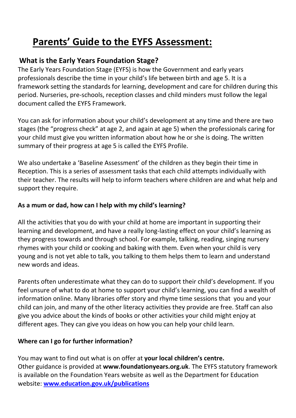# **Parents' Guide to the EYFS Assessment:**

#### **What is the Early Years Foundation Stage?**

The Early Years Foundation Stage (EYFS) is how the Government and early years professionals describe the time in your child's life between birth and age 5. It is a framework setting the standards for learning, development and care for children during this period. Nurseries, pre-schools, reception classes and child minders must follow the legal document called the EYFS Framework.

You can ask for information about your child's development at any time and there are two stages (the "progress check" at age 2, and again at age 5) when the professionals caring for your child must give you written information about how he or she is doing. The written summary of their progress at age 5 is called the EYFS Profile.

We also undertake a 'Baseline Assessment' of the children as they begin their time in Reception. This is a series of assessment tasks that each child attempts individually with their teacher. The results will help to inform teachers where children are and what help and support they require.

#### **As a mum or dad, how can I help with my child's learning?**

All the activities that you do with your child at home are important in supporting their learning and development, and have a really long-lasting effect on your child's learning as they progress towards and through school. For example, talking, reading, singing nursery rhymes with your child or cooking and baking with them. Even when your child is very young and is not yet able to talk, you talking to them helps them to learn and understand new words and ideas.

Parents often underestimate what they can do to support their child's development. If you feel unsure of what to do at home to support your child's learning, you can find a wealth of information online. Many libraries offer story and rhyme time sessions that you and your child can join, and many of the other literacy activities they provide are free. Staff can also give you advice about the kinds of books or other activities your child might enjoy at different ages. They can give you ideas on how you can help your child learn.

#### **Where can I go for further information?**

You may want to find out what is on offer at **your local children's centre.**  Other guidance is provided at **www.foundationyears.org.uk**. The EYFS statutory framework is available on the Foundation Years website as well as the Department for Education website: **[www.education.gov.uk/publications](http://www.education.gov.uk/publications)**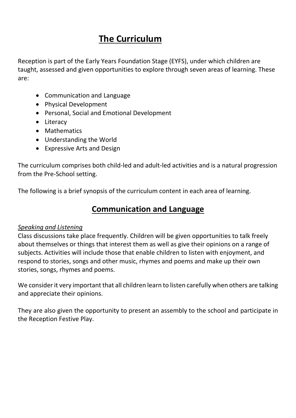# **The Curriculum**

Reception is part of the Early Years Foundation Stage (EYFS), under which children are taught, assessed and given opportunities to explore through seven areas of learning. These are:

- Communication and Language
- Physical Development
- Personal, Social and Emotional Development
- Literacy
- Mathematics
- Understanding the World
- Expressive Arts and Design

The curriculum comprises both child-led and adult-led activities and is a natural progression from the Pre-School setting.

The following is a brief synopsis of the curriculum content in each area of learning.

#### **Communication and Language**

#### *Speaking and Listening*

Class discussions take place frequently. Children will be given opportunities to talk freely about themselves or things that interest them as well as give their opinions on a range of subjects. Activities will include those that enable children to listen with enjoyment, and respond to stories, songs and other music, rhymes and poems and make up their own stories, songs, rhymes and poems.

We consider it very important that all children learn to listen carefully when others are talking and appreciate their opinions.

They are also given the opportunity to present an assembly to the school and participate in the Reception Festive Play.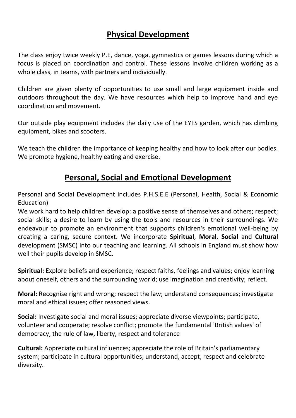## **Physical Development**

The class enjoy twice weekly P.E, dance, yoga, gymnastics or games lessons during which a focus is placed on coordination and control. These lessons involve children working as a whole class, in teams, with partners and individually.

Children are given plenty of opportunities to use small and large equipment inside and outdoors throughout the day. We have resources which help to improve hand and eye coordination and movement.

Our outside play equipment includes the daily use of the EYFS garden, which has climbing equipment, bikes and scooters.

We teach the children the importance of keeping healthy and how to look after our bodies. We promote hygiene, healthy eating and exercise.

#### **Personal, Social and Emotional Development**

Personal and Social Development includes P.H.S.E.E (Personal, Health, Social & Economic Education)

We work hard to help children develop: a positive sense of themselves and others; respect; social skills; a desire to learn by using the tools and resources in their surroundings. We endeavour to promote an environment that supports children's emotional well-being by creating a caring, secure context. We incorporate **Spiritual**, **Moral**, **Social** and **Cultural** development (SMSC) into our teaching and learning. All schools in England must show how well their pupils develop in SMSC.

**Spiritual:** Explore beliefs and experience; respect faiths, feelings and values; enjoy learning about oneself, others and the surrounding world; use imagination and creativity; reflect.

**Moral:** Recognise right and wrong; respect the law; understand consequences; investigate moral and ethical issues; offer reasoned views.

**Social:** Investigate social and moral issues; appreciate diverse viewpoints; participate, volunteer and cooperate; resolve conflict; promote the fundamental ['British values'](http://www.doingsmsc.org.uk/british-values) of democracy, the rule of law, liberty, respect and tolerance

**Cultural:** Appreciate cultural influences; appreciate the role of Britain's parliamentary system; participate in cultural opportunities; understand, accept, respect and celebrate diversity.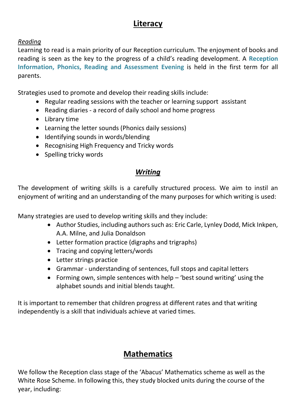#### **Literacy**

#### *Reading*

Learning to read is a main priority of our Reception curriculum. The enjoyment of books and reading is seen as the key to the progress of a child's reading development. A **Reception Information, Phonics, Reading and Assessment Evening** is held in the first term for all parents.

Strategies used to promote and develop their reading skills include:

- Regular reading sessions with the teacher or learning support assistant
- Reading diaries a record of daily school and home progress
- Library time
- Learning the letter sounds (Phonics daily sessions)
- Identifying sounds in words/blending
- Recognising High Frequency and Tricky words
- Spelling tricky words

#### *Writing*

The development of writing skills is a carefully structured process. We aim to instil an enjoyment of writing and an understanding of the many purposes for which writing is used:

Many strategies are used to develop writing skills and they include:

- Author Studies, including authors such as: Eric Carle, Lynley Dodd, Mick Inkpen, A.A. Milne, and Julia Donaldson
- Letter formation practice (digraphs and trigraphs)
- Tracing and copying letters/words
- Letter strings practice
- Grammar understanding of sentences, full stops and capital letters
- Forming own, simple sentences with help  $-$  'best sound writing' using the alphabet sounds and initial blends taught.

It is important to remember that children progress at different rates and that writing independently is a skill that individuals achieve at varied times.

# **Mathematics**

We follow the Reception class stage of the 'Abacus' Mathematics scheme as well as the White Rose Scheme. In following this, they study blocked units during the course of the year, including: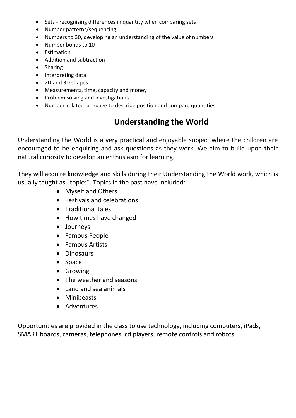- Sets recognising differences in quantity when comparing sets
- Number patterns/sequencing
- Numbers to 30, developing an understanding of the value of numbers
- Number bonds to 10
- Estimation
- Addition and subtraction
- Sharing
- Interpreting data
- 2D and 3D shapes
- Measurements, time, capacity and money
- Problem solving and investigations
- Number-related language to describe position and compare quantities

## **Understanding the World**

Understanding the World is a very practical and enjoyable subject where the children are encouraged to be enquiring and ask questions as they work. We aim to build upon their natural curiosity to develop an enthusiasm for learning.

They will acquire knowledge and skills during their Understanding the World work, which is usually taught as "topics". Topics in the past have included:

- Myself and Others
- Festivals and celebrations
- Traditional tales
- How times have changed
- Journeys
- Famous People
- Famous Artists
- Dinosaurs
- Space
- **•** Growing
- The weather and seasons
- Land and sea animals
- Minibeasts
- Adventures

Opportunities are provided in the class to use technology, including computers, iPads, SMART boards, cameras, telephones, cd players, remote controls and robots.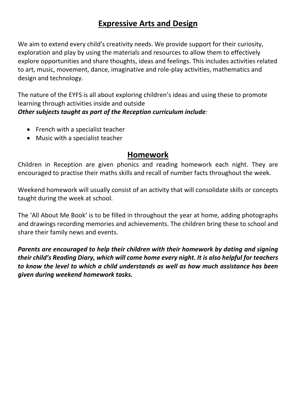## **Expressive Arts and Design**

We aim to extend every child's creativity needs. We provide support for their curiosity, exploration and play by using the materials and resources to allow them to effectively explore opportunities and share thoughts, ideas and feelings. This includes activities related to art, music, movement, dance, imaginative and role-play activities, mathematics and design and technology.

The nature of the EYFS is all about exploring children's ideas and using these to promote learning through activities inside and outside

*Other subjects taught as part of the Reception curriculum include:*

- French with a specialist teacher
- Music with a specialist teacher

#### **Homework**

Children in Reception are given phonics and reading homework each night. They are encouraged to practise their maths skills and recall of number facts throughout the week.

Weekend homework will usually consist of an activity that will consolidate skills or concepts taught during the week at school.

The 'All About Me Book' is to be filled in throughout the year at home, adding photographs and drawings recording memories and achievements. The children bring these to school and share their family news and events.

*Parents are encouraged to help their children with their homework by dating and signing their child's Reading Diary, which will come home every night. It is also helpful for teachers to know the level to which a child understands as well as how much assistance has been given during weekend homework tasks.*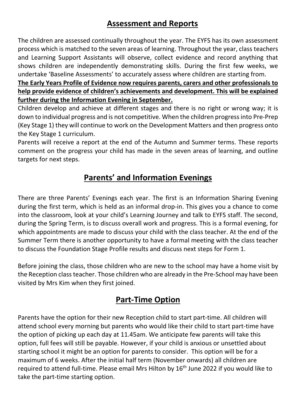## **Assessment and Reports**

The children are assessed continually throughout the year. The EYFS has its own assessment process which is matched to the seven areas of learning. Throughout the year, class teachers and Learning Support Assistants will observe, collect evidence and record anything that shows children are independently demonstrating skills. During the first few weeks, we undertake 'Baseline Assessments' to accurately assess where children are starting from.

**The Early Years Profile of Evidence now requires parents, carers and other professionals to help provide evidence of children's achievements and development. This will be explained further during the Information Evening in September.**

Children develop and achieve at different stages and there is no right or wrong way; it is down to individual progress and is not competitive. When the children progress into Pre-Prep (Key Stage 1) they will continue to work on the Development Matters and then progress onto the Key Stage 1 curriculum.

Parents will receive a report at the end of the Autumn and Summer terms. These reports comment on the progress your child has made in the seven areas of learning, and outline targets for next steps.

# **Parents' and Information Evenings**

There are three Parents' Evenings each year. The first is an Information Sharing Evening during the first term, which is held as an informal drop-in. This gives you a chance to come into the classroom, look at your child's Learning Journey and talk to EYFS staff. The second, during the Spring Term, is to discuss overall work and progress. This is a formal evening, for which appointments are made to discuss your child with the class teacher. At the end of the Summer Term there is another opportunity to have a formal meeting with the class teacher to discuss the Foundation Stage Profile results and discuss next steps for Form 1.

Before joining the class, those children who are new to the school may have a home visit by the Reception class teacher. Those children who are already in the Pre-School may have been visited by Mrs Kim when they first joined.

#### **Part-Time Option**

Parents have the option for their new Reception child to start part-time. All children will attend school every morning but parents who would like their child to start part-time have the option of picking up each day at 11.45am. We anticipate few parents will take this option, full fees will still be payable. However, if your child is anxious or unsettled about starting school it might be an option for parents to consider. This option will be for a maximum of 6 weeks. After the initial half term (November onwards) all children are required to attend full-time. Please email Mrs Hilton by 16<sup>th</sup> June 2022 if you would like to take the part-time starting option.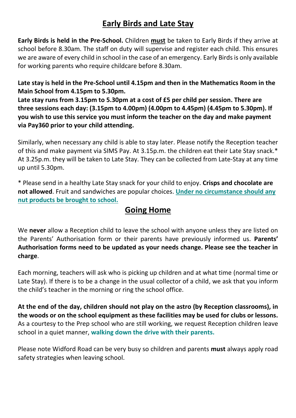## **Early Birds and Late Stay**

**Early Birds is held in the Pre-School.** Children **must** be taken to Early Birds if they arrive at school before 8.30am. The staff on duty will supervise and register each child. This ensures we are aware of every child in school in the case of an emergency. Early Birds is only available for working parents who require childcare before 8.30am.

#### **Late stay is held in the Pre-School until 4.15pm and then in the Mathematics Room in the Main School from 4.15pm to 5.30pm.**

**Late stay runs from 3.15pm to 5.30pm at a cost of £5 per child per session. There are three sessions each day: (3.15pm to 4.00pm) (4.00pm to 4.45pm) (4.45pm to 5.30pm). If you wish to use this service you must inform the teacher on the day and make payment via Pay360 prior to your child attending.**

Similarly, when necessary any child is able to stay later. Please notify the Reception teacher of this and make payment via SIMS Pay. At 3.15p.m. the children eat their Late Stay snack.\* At 3.25p.m. they will be taken to Late Stay. They can be collected from Late-Stay at any time up until 5.30pm.

\* Please send in a healthy Late Stay snack for your child to enjoy. **Crisps and chocolate are not allowed**. Fruit and sandwiches are popular choices. **Under no circumstance should any nut products be brought to school.**

#### **Going Home**

We **never** allow a Reception child to leave the school with anyone unless they are listed on the Parents' Authorisation form or their parents have previously informed us. **Parents' Authorisation forms need to be updated as your needs change. Please see the teacher in charge**.

Each morning, teachers will ask who is picking up children and at what time (normal time or Late Stay). If there is to be a change in the usual collector of a child, we ask that you inform the child's teacher in the morning or ring the school office.

**At the end of the day, children should not play on the astro (by Reception classrooms), in the woods or on the school equipment as these facilities may be used for clubs or lessons.**  As a courtesy to the Prep school who are still working, we request Reception children leave school in a quiet manner, **walking down the drive with their parents.** 

Please note Widford Road can be very busy so children and parents **must** always apply road safety strategies when leaving school.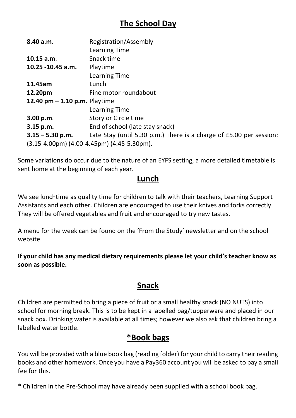# **The School Day**

| 8.40 a.m.                                            | Registration/Assembly                                               |  |  |
|------------------------------------------------------|---------------------------------------------------------------------|--|--|
|                                                      | <b>Learning Time</b>                                                |  |  |
| 10.15 a.m.                                           | Snack time                                                          |  |  |
| 10.25 -10.45 a.m.                                    | Playtime                                                            |  |  |
|                                                      | Learning Time                                                       |  |  |
| 11.45am                                              | Lunch                                                               |  |  |
| 12.20pm                                              | Fine motor roundabout                                               |  |  |
| 12.40 $pm - 1.10 p.m.$ Playtime                      |                                                                     |  |  |
|                                                      | <b>Learning Time</b>                                                |  |  |
| 3.00 p.m.                                            | Story or Circle time                                                |  |  |
| 3.15 p.m.                                            | End of school (late stay snack)                                     |  |  |
| $3.15 - 5.30$ p.m.                                   | Late Stay (until 5.30 p.m.) There is a charge of £5.00 per session: |  |  |
| $(3.15-4.00 \text{pm})$ (4.00-4.45pm) (4.45-5.30pm). |                                                                     |  |  |

Some variations do occur due to the nature of an EYFS setting, a more detailed timetable is sent home at the beginning of each year.

#### **Lunch**

We see lunchtime as quality time for children to talk with their teachers, Learning Support Assistants and each other. Children are encouraged to use their knives and forks correctly. They will be offered vegetables and fruit and encouraged to try new tastes.

A menu for the week can be found on the 'From the Study' newsletter and on the school website.

**If your child has any medical dietary requirements please let your child's teacher know as soon as possible.**

## **Snack**

Children are permitted to bring a piece of fruit or a small healthy snack (NO NUTS) into school for morning break. This is to be kept in a labelled bag/tupperware and placed in our snack box. Drinking water is available at all times; however we also ask that children bring a labelled water bottle.

#### **\*Book bags**

You will be provided with a blue book bag (reading folder) for your child to carry their reading books and other homework. Once you have a Pay360 account you will be asked to pay a small fee for this.

\* Children in the Pre-School may have already been supplied with a school book bag.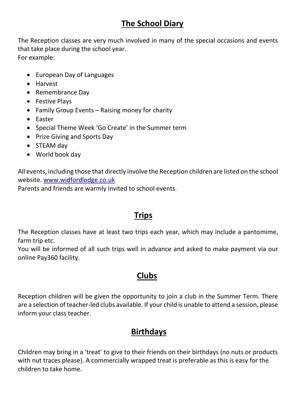# **The School Diary**

The Reception classes are very much involved in many of the special occasions and events that take place during the school year. For example:

- European Day of Languages
- Harvest
- Remembrance Day
- Festive Plays
- Family Group Events Raising money for charity
- Easter
- Special Theme Week 'Go Create' in the Summer term
- Prize Giving and Sports Day
- STEAM day
- World book day

All events, including those that directly involve the Reception children are listed on the school website. [www.widfordlodge.co.uk](http://www.widfordlodge.co.uk/)

Parents and friends are warmly invited to school events.

# **Trips**

The Reception classes have at least two trips each year, which may include a pantomime, farm trip etc.

You will be informed of all such trips well in advance and asked to make payment via our online Pay360 facility.

# **Clubs**

Reception children will be given the opportunity to join a club in the Summer Term. There are a selection of teacher-led clubs available. If your child is unable to attend a session, please inform your class teacher.

# **Birthdays**

Children may bring in a 'treat' to give to their friends on their birthdays (no nuts or products with nut traces please). A commercially wrapped treat is preferable as this is easy for the children to take home.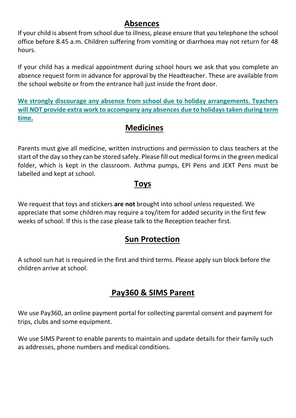#### **Absences**

If your child is absent from school due to illness, please ensure that you telephone the school office before 8.45 a.m. Children suffering from vomiting or diarrhoea may not return for 48 hours.

If your child has a medical appointment during school hours we ask that you complete an absence request form in advance for approval by the Headteacher. These are available from the school website or from the entrance hall just inside the front door.

**We strongly discourage any absence from school due to holiday arrangements. Teachers will NOT provide extra work to accompany any absences due to holidays taken during term time.** 

#### **Medicines**

Parents must give all medicine, written instructions and permission to class teachers at the start of the day so they can be stored safely. Please fill out medical forms in the green medical folder, which is kept in the classroom. Asthma pumps, EPI Pens and JEXT Pens must be labelled and kept at school.

#### **Toys**

We request that toys and stickers **are not** brought into school unless requested. We appreciate that some children may require a toy/item for added security in the first few weeks of school. If this is the case please talk to the Reception teacher first.

#### **Sun Protection**

A school sun hat is required in the first and third terms. Please apply sun block before the children arrive at school.

## **Pay360 & SIMS Parent**

We use Pay360, an online payment portal for collecting parental consent and payment for trips, clubs and some equipment.

We use SIMS Parent to enable parents to maintain and update details for their family such as addresses, phone numbers and medical conditions.